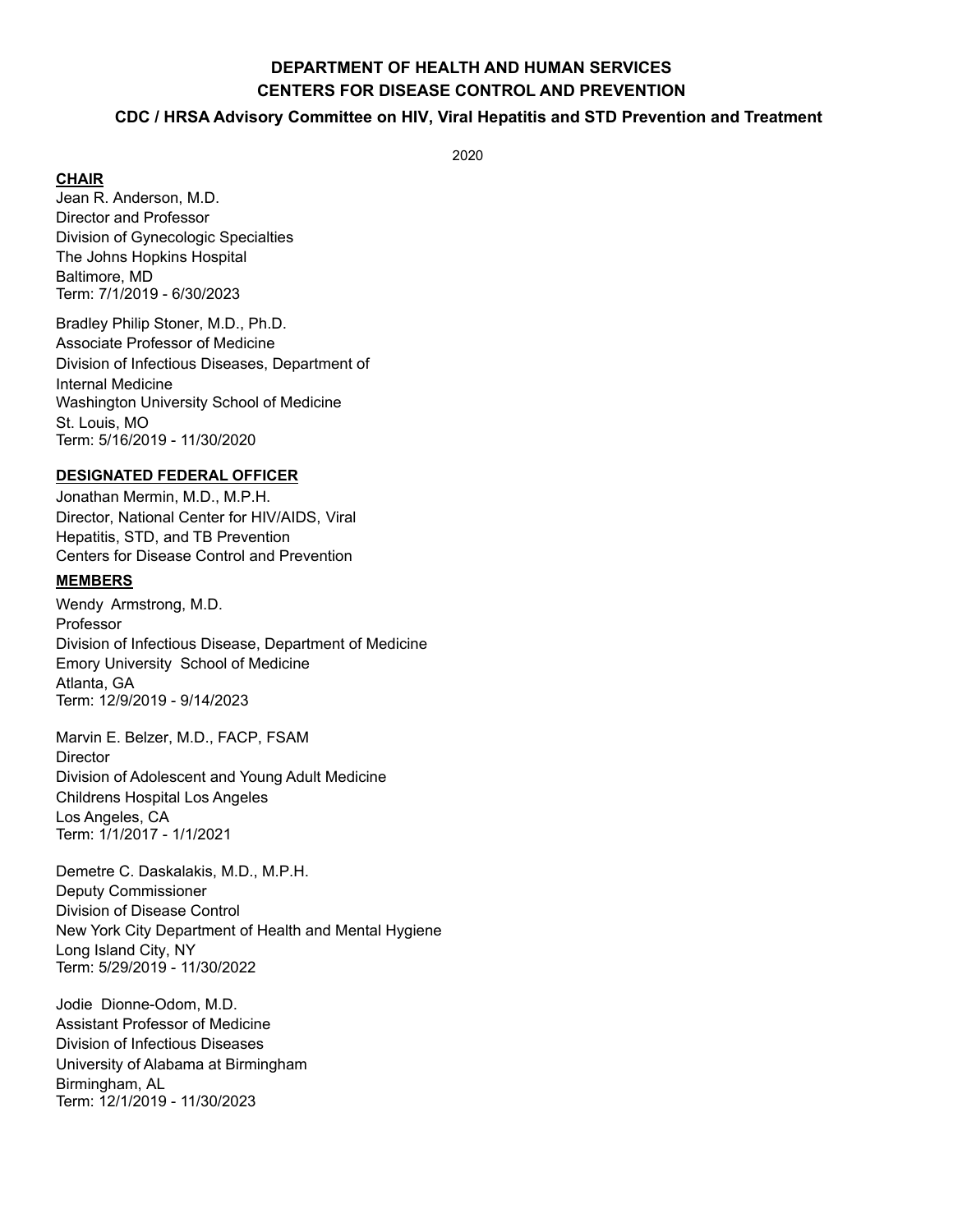# **DEPARTMENT OF HEALTH AND HUMAN SERVICES CENTERS FOR DISEASE CONTROL AND PREVENTION**

## **CDC / HRSA Advisory Committee on HIV, Viral Hepatitis and STD Prevention and Treatment**

2020

**CHAIR** 

Jean R. Anderson, M.D. Director and Professor Division of Gynecologic Specialties The Johns Hopkins Hospital Baltimore, MD Term: 7/1/2019 - 6/30/2023

Bradley Philip Stoner, M.D., Ph.D. Associate Professor of Medicine Division of Infectious Diseases, Department of Internal Medicine Washington University School of Medicine St. Louis, MO Term: 5/16/2019 - 11/30/2020

#### **DESIGNATED FEDERAL OFFICER**

Jonathan Mermin, M.D., M.P.H. Director, National Center for HIV/AIDS, Viral Hepatitis, STD, and TB Prevention Centers for Disease Control and Prevention

#### **MEMBERS**

Wendy Armstrong, M.D. Professor Division of Infectious Disease, Department of Medicine Emory University School of Medicine Atlanta, GA Term: 12/9/2019 - 9/14/2023

Marvin E. Belzer, M.D., FACP, FSAM **Director** Division of Adolescent and Young Adult Medicine Childrens Hospital Los Angeles Los Angeles, CA Term: 1/1/2017 - 1/1/2021

Demetre C. Daskalakis, M.D., M.P.H. Deputy Commissioner Division of Disease Control New York City Department of Health and Mental Hygiene Long Island City, NY Term: 5/29/2019 - 11/30/2022

Jodie Dionne-Odom, M.D. Assistant Professor of Medicine Division of Infectious Diseases University of Alabama at Birmingham Birmingham, AL Term: 12/1/2019 - 11/30/2023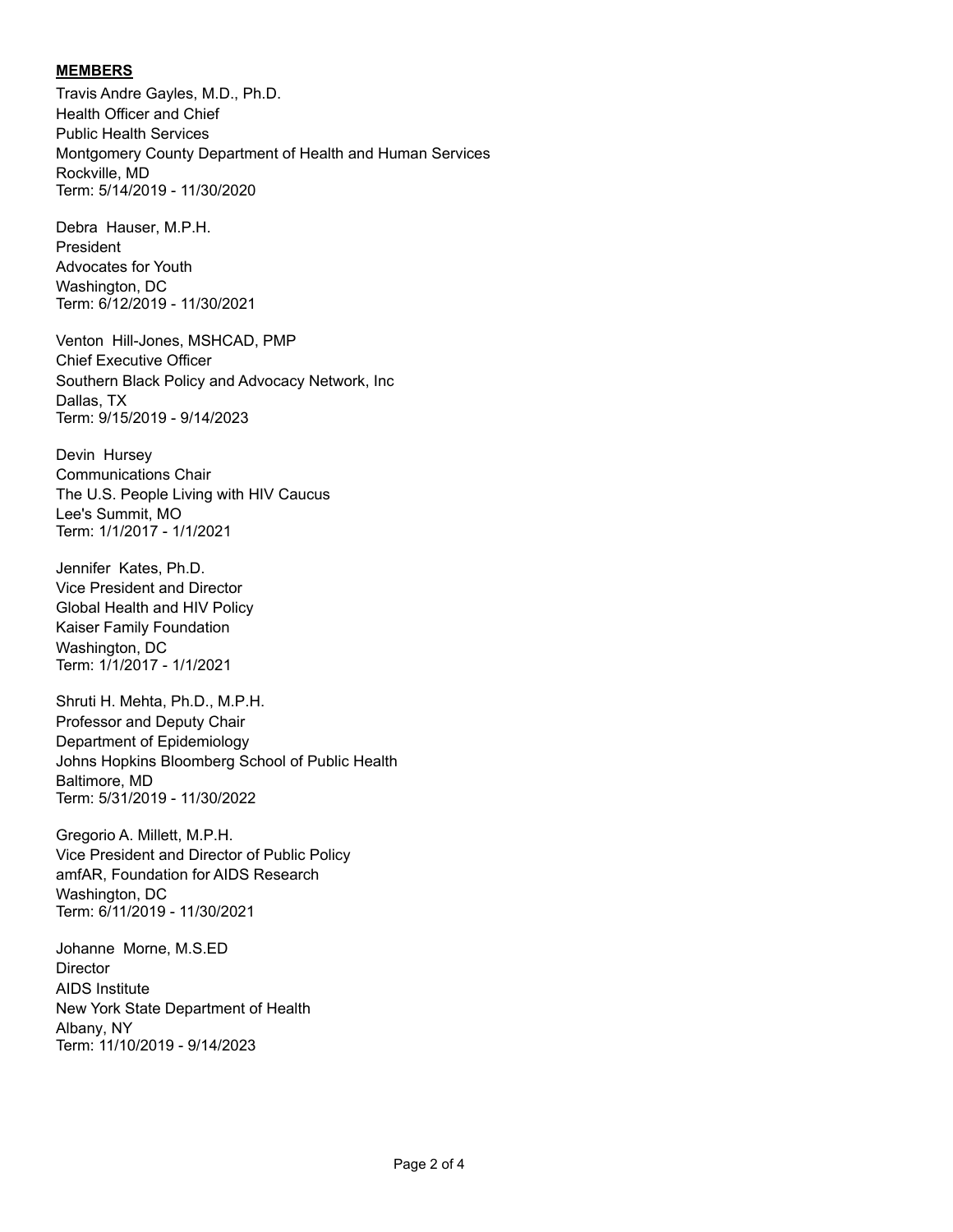## **MEMBERS**

Travis Andre Gayles, M.D., Ph.D. Health Officer and Chief Public Health Services Montgomery County Department of Health and Human Services Rockville, MD Term: 5/14/2019 - 11/30/2020

Debra Hauser, M.P.H. President Advocates for Youth Washington, DC Term: 6/12/2019 - 11/30/2021

Venton Hill-Jones, MSHCAD, PMP Chief Executive Officer Southern Black Policy and Advocacy Network, Inc Dallas, TX Term: 9/15/2019 - 9/14/2023

Devin Hursey Communications Chair The U.S. People Living with HIV Caucus Lee's Summit, MO Term: 1/1/2017 - 1/1/2021

Jennifer Kates, Ph.D. Vice President and Director Global Health and HIV Policy Kaiser Family Foundation Washington, DC Term: 1/1/2017 - 1/1/2021

Shruti H. Mehta, Ph.D., M.P.H. Professor and Deputy Chair Department of Epidemiology Johns Hopkins Bloomberg School of Public Health Baltimore, MD Term: 5/31/2019 - 11/30/2022

Gregorio A. Millett, M.P.H. Vice President and Director of Public Policy amfAR, Foundation for AIDS Research Washington, DC Term: 6/11/2019 - 11/30/2021

Johanne Morne, M.S.ED **Director** AIDS Institute New York State Department of Health Albany, NY Term: 11/10/2019 - 9/14/2023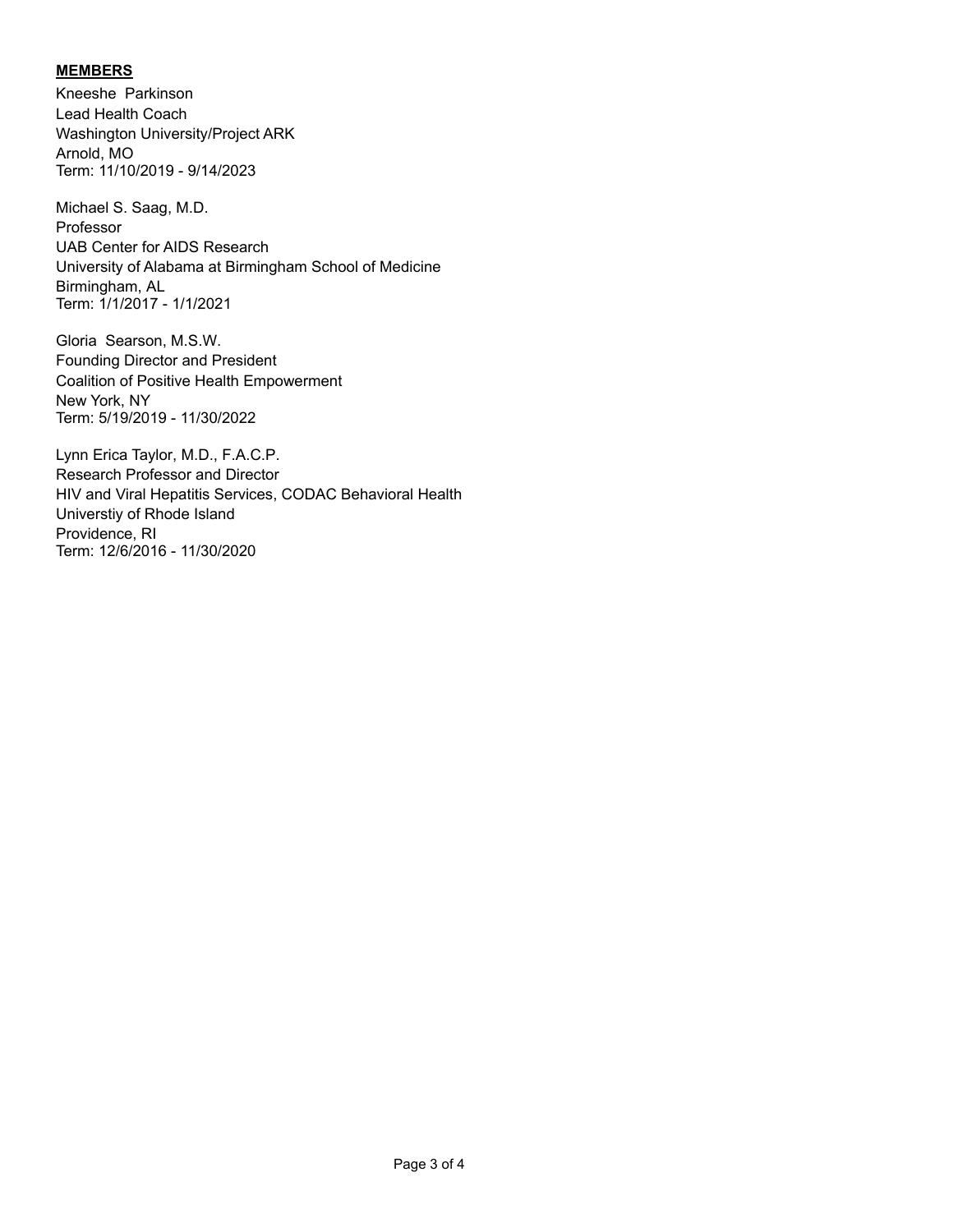# **MEMBERS**

Kneeshe Parkinson Lead Health Coach Washington University/Project ARK Arnold, MO Term: 11/10/2019 - 9/14/2023

Michael S. Saag, M.D. Professor UAB Center for AIDS Research University of Alabama at Birmingham School of Medicine Birmingham, AL Term: 1/1/2017 - 1/1/2021

Gloria Searson, M.S.W. Founding Director and President Coalition of Positive Health Empowerment New York, NY Term: 5/19/2019 - 11/30/2022

Lynn Erica Taylor, M.D., F.A.C.P. Research Professor and Director HIV and Viral Hepatitis Services, CODAC Behavioral Health Universtiy of Rhode Island Providence, RI Term: 12/6/2016 - 11/30/2020